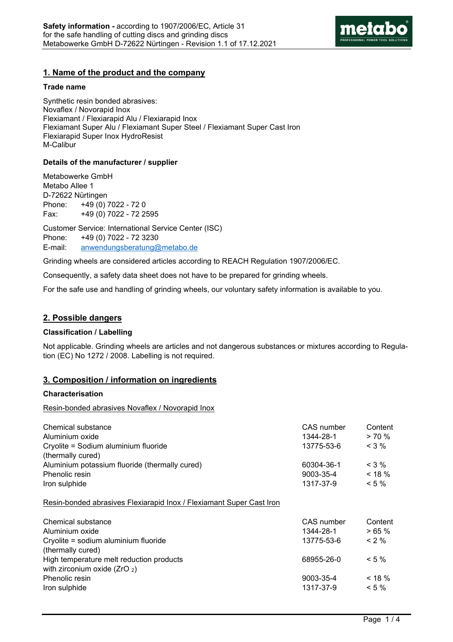

## **1. Name of the product and the company**

#### **Trade name**

Synthetic resin bonded abrasives: Novaflex / Novorapid Inox Flexiamant / Flexiarapid Alu / Flexiarapid Inox Flexiamant Super Alu / Flexiamant Super Steel / Flexiamant Super Cast Iron Flexiarapid Super Inox HydroResist M-Calibur

## **Details of the manufacturer / supplier**

Metabowerke GmbH Metabo Allee 1 D-72622 Nürtingen Phone: +49 (0) 7022 - 72 0 Fax: +49 (0) 7022 - 72 2595

Customer Service: International Service Center (ISC) Phone: +49 (0) 7022 - 72 3230 E-mail: anwendungsberatung@metabo.de

Grinding wheels are considered articles according to REACH Regulation 1907/2006/EC.

Consequently, a safety data sheet does not have to be prepared for grinding wheels.

For the safe use and handling of grinding wheels, our voluntary safety information is available to you.

## **2. Possible dangers**

## **Classification / Labelling**

Not applicable. Grinding wheels are articles and not dangerous substances or mixtures according to Regulation (EC) No 1272 / 2008. Labelling is not required.

## **3. Composition / information on ingredients**

#### **Characterisation**

Resin-bonded abrasives Novaflex / Novorapid Inox

| Chemical substance                                                   | CAS number | Content   |
|----------------------------------------------------------------------|------------|-----------|
| Aluminium oxide                                                      | 1344-28-1  | > 70%     |
| Cryolite = Sodium aluminium fluoride                                 | 13775-53-6 | $<$ 3 %   |
| (thermally cured)                                                    |            |           |
| Aluminium potassium fluoride (thermally cured)                       | 60304-36-1 | $<$ 3 %   |
| Phenolic resin                                                       | 9003-35-4  | $< 18 \%$ |
| Iron sulphide                                                        | 1317-37-9  | $< 5 \%$  |
| Resin-bonded abrasives Flexiarapid Inox / Flexiamant Super Cast Iron |            |           |
| Chemical substance                                                   | CAS number | Content   |
| Aluminium oxide                                                      | 1344-28-1  | >65%      |
| Cryolite = sodium aluminium fluoride                                 | 13775-53-6 | $< 2 \%$  |
| (thermally cured)                                                    |            |           |
| High temperature melt reduction products                             | 68955-26-0 | $< 5 \%$  |
| with zirconium oxide $(ZrO_2)$                                       |            |           |
| Phenolic resin                                                       | 9003-35-4  | $< 18 \%$ |
| Iron sulphide                                                        | 1317-37-9  | $< 5 \%$  |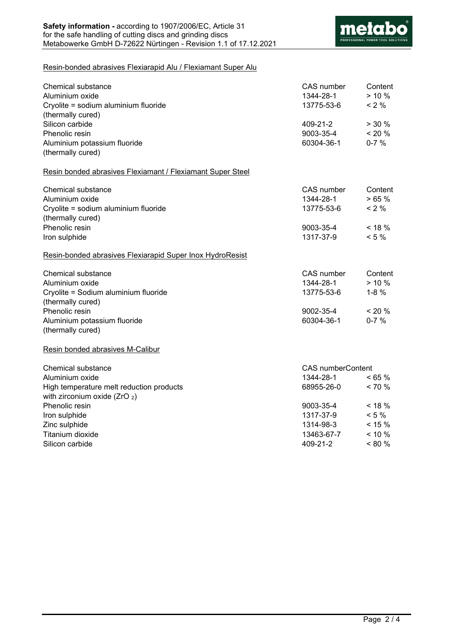

## Resin-bonded abrasives Flexiarapid Alu / Flexiamant Super Alu

| Chemical substance<br>Aluminium oxide<br>Cryolite = sodium aluminium fluoride | CAS number<br>1344-28-1<br>13775-53-6 | Content<br>$> 10 \%$<br>$< 2 \%$ |  |
|-------------------------------------------------------------------------------|---------------------------------------|----------------------------------|--|
| (thermally cured)                                                             |                                       |                                  |  |
| Silicon carbide<br>Phenolic resin                                             | 409-21-2<br>9003-35-4                 | > 30%<br>$< 20 \%$               |  |
| Aluminium potassium fluoride                                                  | 60304-36-1                            | $0 - 7%$                         |  |
| (thermally cured)                                                             |                                       |                                  |  |
|                                                                               |                                       |                                  |  |
| Resin bonded abrasives Flexiamant / Flexiamant Super Steel                    |                                       |                                  |  |
| <b>Chemical substance</b>                                                     | CAS number                            | Content                          |  |
| Aluminium oxide                                                               | 1344-28-1                             | >65%                             |  |
| Cryolite = sodium aluminium fluoride                                          | 13775-53-6                            | $< 2 \%$                         |  |
| (thermally cured)                                                             |                                       |                                  |  |
| Phenolic resin                                                                | 9003-35-4                             | $< 18 \%$                        |  |
| Iron sulphide                                                                 | 1317-37-9                             | $< 5 \%$                         |  |
| Resin-bonded abrasives Flexiarapid Super Inox HydroResist                     |                                       |                                  |  |
| Chemical substance                                                            | CAS number                            | Content                          |  |
| Aluminium oxide                                                               | 1344-28-1                             | $> 10 \%$                        |  |
| Cryolite = Sodium aluminium fluoride                                          | 13775-53-6                            | $1 - 8%$                         |  |
| (thermally cured)                                                             |                                       |                                  |  |
| Phenolic resin                                                                | 9002-35-4                             | $< 20\%$                         |  |
| Aluminium potassium fluoride                                                  | 60304-36-1                            | $0 - 7 %$                        |  |
| (thermally cured)                                                             |                                       |                                  |  |
| Resin bonded abrasives M-Calibur                                              |                                       |                                  |  |
| Chemical substance                                                            |                                       | <b>CAS</b> numberContent         |  |
| Aluminium oxide                                                               | 1344-28-1                             | $< 65 \%$                        |  |
| High temperature melt reduction products                                      | 68955-26-0                            | $< 70 \%$                        |  |
| with zirconium oxide $(ZrO_2)$                                                |                                       |                                  |  |
| Phenolic resin                                                                | 9003-35-4                             | $< 18 \%$                        |  |
| Iron sulphide                                                                 | 1317-37-9                             | $< 5 \%$                         |  |
| Zinc sulphide                                                                 | 1314-98-3                             | $< 15 \%$                        |  |
| Titanium dioxide                                                              | 13463-67-7                            | $< 10 \%$                        |  |
| Silicon carbide                                                               | 409-21-2                              | $< 80 \%$                        |  |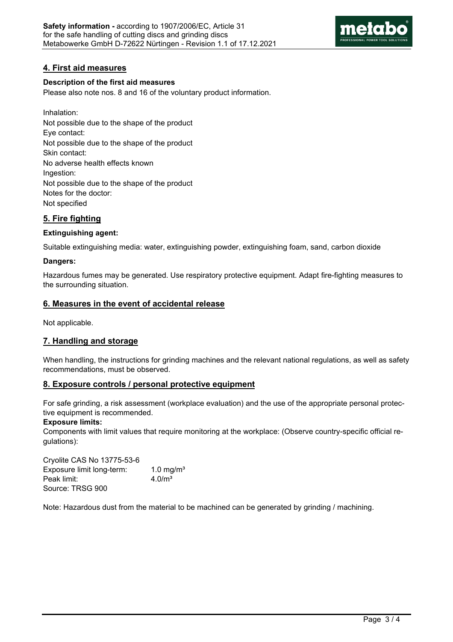

# **4. First aid measures**

## **Description of the first aid measures**

Please also note nos. 8 and 16 of the voluntary product information.

Inhalation: Not possible due to the shape of the product Eye contact: Not possible due to the shape of the product Skin contact: No adverse health effects known Ingestion: Not possible due to the shape of the product Notes for the doctor: Not specified

# **5. Fire fighting**

## **Extinguishing agent:**

Suitable extinguishing media: water, extinguishing powder, extinguishing foam, sand, carbon dioxide

## **Dangers:**

Hazardous fumes may be generated. Use respiratory protective equipment. Adapt fire-fighting measures to the surrounding situation.

## **6. Measures in the event of accidental release**

Not applicable.

# **7. Handling and storage**

When handling, the instructions for grinding machines and the relevant national regulations, as well as safety recommendations, must be observed.

# **8. Exposure controls / personal protective equipment**

For safe grinding, a risk assessment (workplace evaluation) and the use of the appropriate personal protective equipment is recommended.

## **Exposure limits:**

Components with limit values that require monitoring at the workplace: (Observe country-specific official regulations):

Cryolite CAS No 13775-53-6 Exposure limit long-term: 1.0 mg/m<sup>3</sup> Peak limit: 4.0/m<sup>3</sup> Source: TRSG 900

Note: Hazardous dust from the material to be machined can be generated by grinding / machining.